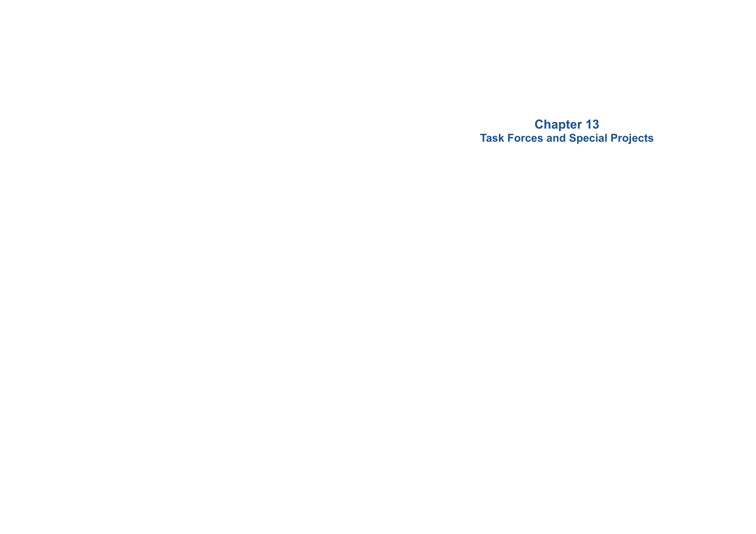**Chapter 13 Task Forces and Special Projects**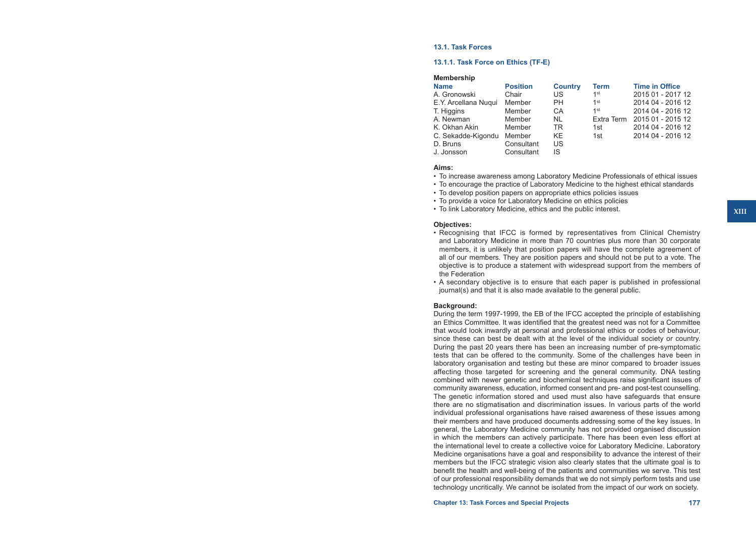#### **13.1. Task Forces**

#### **13.1.1. Task Force on Ethics (TF-E)**

| <b>Membership</b>    |                 |                |                 |                       |
|----------------------|-----------------|----------------|-----------------|-----------------------|
| <b>Name</b>          | <b>Position</b> | <b>Country</b> | <b>Term</b>     | <b>Time in Office</b> |
| A. Gronowski         | Chair           | US             | 1 <sup>st</sup> | 2015 01 - 2017 12     |
| E.Y. Arcellana Nugui | Member          | <b>PH</b>      | 1 <sup>st</sup> | 2014 04 - 2016 12     |
| T. Higgins           | Member          | CA             | 1 <sup>st</sup> | 2014 04 - 2016 12     |
| A. Newman            | Member          | <b>NL</b>      | Extra Term      | 2015 01 - 2015 12     |
| K. Okhan Akin        | Member          | TR             | 1st             | 2014 04 - 2016 12     |
| C. Sekadde-Kigondu   | Member          | KE.            | 1st             | 2014 04 - 2016 12     |
| D. Bruns             | Consultant      | US             |                 |                       |
| J. Jonsson           | Consultant      | IS             |                 |                       |

#### **Aims:**

- • To increase awareness among Laboratory Medicine Professionals of ethical issues
- • To encourage the practice of Laboratory Medicine to the highest ethical standards
- To develop position papers on appropriate ethics policies issues
- To provide a voice for Laboratory Medicine on ethics policies
- To link Laboratory Medicine, ethics and the public interest.

#### **Objectives:**

- • Recognising that IFCC is formed by representatives from Clinical Chemistry and Laboratory Medicine in more than 70 countries plus more than 30 corporate members, it is unlikely that position papers will have the complete agreement of all of our members. They are position papers and should not be put to a vote. The objective is to produce a statement with widespread support from the members of the Federation
- • A secondary objective is to ensure that each paper is published in professional journal(s) and that it is also made available to the general public.

#### **Background:**

During the term 1997-1999, the EB of the IFCC accepted the principle of establishing an Ethics Committee. It was identified that the greatest need was not for a Committee that would look inwardly at personal and professional ethics or codes of behaviour, since these can best be dealt with at the level of the individual society or country. During the past 20 years there has been an increasing number of pre-symptomatic tests that can be offered to the community. Some of the challenges have been in laboratory organisation and testing but these are minor compared to broader issues affecting those targeted for screening and the general community. DNA testing combined with newer genetic and biochemical techniques raise significant issues of community awareness, education, informed consent and pre- and post-test counselling. The genetic information stored and used must also have safeguards that ensure there are no stigmatisation and discrimination issues. In various parts of the world individual professional organisations have raised awareness of these issues among their members and have produced documents addressing some of the key issues. In general, the Laboratory Medicine community has not provided organised discussion in which the members can actively participate. There has been even less effort at the international level to create a collective voice for Laboratory Medicine. Laboratory Medicine organisations have a goal and responsibility to advance the interest of their members but the IFCC strategic vision also clearly states that the ultimate goal is to benefit the health and well-being of the patients and communities we serve. This test of our professional responsibility demands that we do not simply perform tests and use technology uncritically. We cannot be isolated from the impact of our work on society.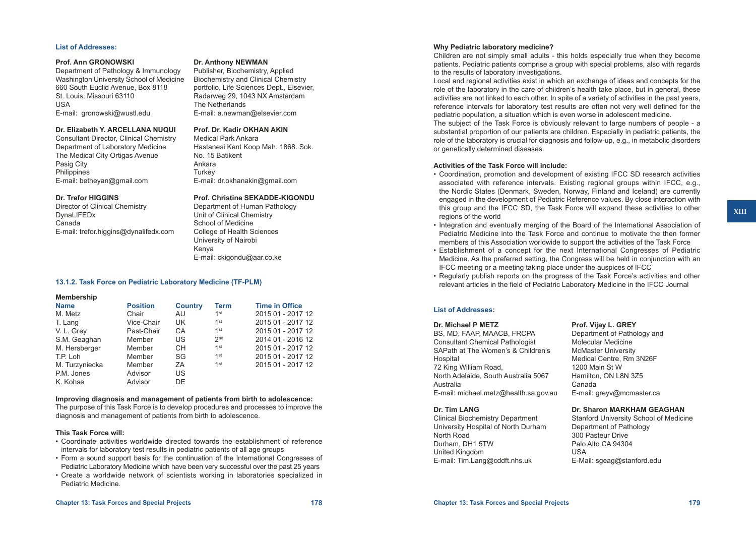#### **List of Addresses:**

#### **Prof. Ann GRONOWSKI**

Department of Pathology & Immunology Washington University School of Medicine 660 South Euclid Avenue, Box 8118 St. Louis, Missouri 63110 USA E-mail: gronowski@wustl.edu

## **Dr. Elizabeth Y. ARCELLANA NUQUI**

Consultant Director, Clinical Chemistry Department of Laboratory Medicine The Medical City Ortigas Avenue Pasig City **Philippines** E-mail: betheyan@gmail.com

#### **Dr. Trefor HIGGINS**

Director of Clinical Chemistry DynaLIFEDx Canada E-mail: trefor.higgins@dynalifedx.com

#### **Dr. Anthony NEWMAN**

Publisher, Biochemistry, Applied Biochemistry and Clinical Chemistry portfolio, Life Sciences Dept., Elsevier, Radarweg 29, 1043 NX Amsterdam The Netherlands E-mail: a.newman@elsevier.com

## **Prof. Dr. Kadir OKHAN AKIN**

Medical Park Ankara Hastanesi Kent Koop Mah. 1868. Sok. No. 15 Batikent Ankara **Turkey** E-mail: dr.okhanakin@gmail.com

#### **Prof. Christine SEKADDE-KIGONDU**

Department of Human Pathology Unit of Clinical Chemistry School of Medicine College of Health Sciences University of Nairobi Kenya E-mail: ckigondu@aar.co.ke

#### **13.1.2. Task Force on Pediatric Laboratory Medicine (TF-PLM)**

| <b>Position</b> | <b>Country</b> | Term            | <b>Time in Office</b> |
|-----------------|----------------|-----------------|-----------------------|
| Chair           | AU.            | 1 <sup>st</sup> | 2015 01 - 2017 12     |
| Vice-Chair      | UK             | 1 <sup>st</sup> | 2015 01 - 2017 12     |
| Past-Chair      | CA             | 1st             | 2015 01 - 2017 12     |
| Member          | US             | 2 <sub>nd</sub> | 2014 01 - 2016 12     |
| Member          | CH.            | 1 <sup>st</sup> | 2015 01 - 2017 12     |
| Member          | <b>SG</b>      | 1 <sup>st</sup> | 2015 01 - 2017 12     |
| Member          | ZΑ             | 1 <sup>st</sup> | 2015 01 - 2017 12     |
| Advisor         | US             |                 |                       |
| Advisor         | DE.            |                 |                       |
|                 |                |                 |                       |

#### **Improving diagnosis and management of patients from birth to adolescence:**

The purpose of this Task Force is to develop procedures and processes to improve the diagnosis and management of patients from birth to adolescence.

### **This Task Force will:**

- • Coordinate activities worldwide directed towards the establishment of reference intervals for laboratory test results in pediatric patients of all age groups
- • Form a sound support basis for the continuation of the International Congresses of Pediatric Laboratory Medicine which have been very successful over the past 25 years
- • Create a worldwide network of scientists working in laboratories specialized in Pediatric Medicine.

## **Why Pediatric laboratory medicine?**

Children are not simply small adults - this holds especially true when they become patients. Pediatric patients comprise a group with special problems, also with regards to the results of laboratory investigations.

Local and regional activities exist in which an exchange of ideas and concepts for the role of the laboratory in the care of children's health take place, but in general, these activities are not linked to each other. In spite of a variety of activities in the past years, reference intervals for laboratory test results are often not very well defined for the pediatric population, a situation which is even worse in adolescent medicine.

The subject of the Task Force is obviously relevant to large numbers of people - a substantial proportion of our patients are children. Especially in pediatric patients, the role of the laboratory is crucial for diagnosis and follow-up, e.g., in metabolic disorders or genetically determined diseases.

#### **Activities of the Task Force will include:**

• Coordination, promotion and development of existing IFCC SD research activities associated with reference intervals. Existing regional groups within IFCC, e.g., the Nordic States (Denmark, Sweden, Norway, Finland and Iceland) are currently engaged in the development of Pediatric Reference values. By close interaction with this group and the IFCC SD, the Task Force will expand these activities to other regions of the world

- • Integration and eventually merging of the Board of the International Association of Pediatric Medicine into the Task Force and continue to motivate the then former members of this Association worldwide to support the activities of the Task Force
- • Establishment of a concept for the next International Congresses of Pediatric Medicine. As the preferred setting, the Congress will be held in conjunction with an IFCC meeting or a meeting taking place under the auspices of IFCC
- Regularly publish reports on the progress of the Task Force's activities and other relevant articles in the field of Pediatric Laboratory Medicine in the IFCC Journal

### **List of Addresses:**

#### **Dr. Michael P METZ**

BS, MD, FAAP, MAACB, FRCPA Consultant Chemical Pathologist SAPath at The Women's & Children's **Hospital** 72 King William Road, North Adelaide, South Australia 5067 Australia E-mail: [michael.metz@health.sa.gov.au](mailto:michael.metz@health.sa.gov.au)

#### **Dr. Tim LANG**

Clinical Biochemistry Department University Hospital of North Durham North Road Durham, DH1 5TW United Kingdom E-mail: Tim.Lang@cddft.nhs.uk

# **Prof. Vijay L. GREY**

Department of Pathology and Molecular Medicine McMaster University Medical Centre, Rm 3N26F 1200 Main St W Hamilton, ON L8N 3Z5 Canada E-mail: greyv@mcmaster.ca

#### **Dr. Sharon MARKHAM GEAGHAN**

Stanford University School of Medicine Department of Pathology 300 Pasteur Drive Palo Alto CA 94304 USA E-Mail: sgeag@stanford.edu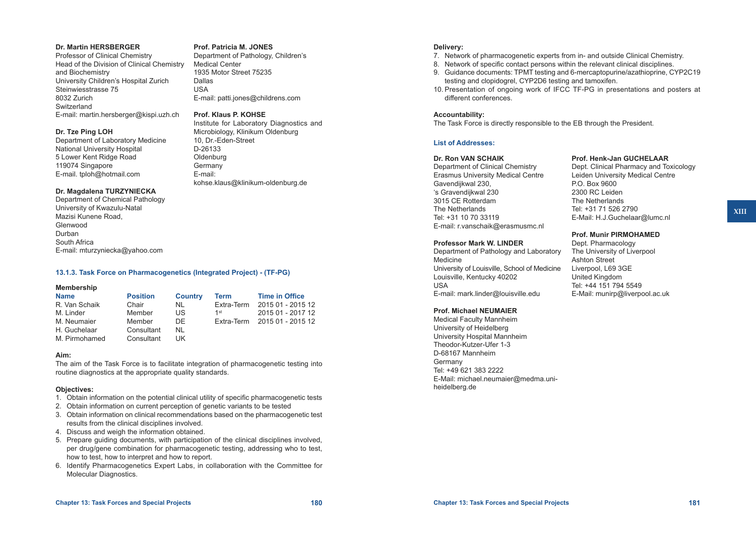#### **Chapter 13: Task Forces and Special Projects 180 Chapter 13: Task Forces and Special Projects 181**

#### **Dr. Martin HERSBERGER** Professor of Clinical Chemistry **Prof. Patricia M. JONES** Department of Pathology, Children's

Medical Center

Dallas USA

D-26133 **Oldenburg Germany** E-mail:

1935 Motor Street 75235

**Prof. Klaus P. KOHSE**

10, Dr.-Eden-Street

E-mail: patti.jones@childrens.com

Institute for Laboratory Diagnostics and Microbiology, Klinikum Oldenburg

kohse.klaus@klinikum-oldenburg.de

Head of the Division of Clinical Chemistry and Biochemistry University Children's Hospital Zurich Steinwiesstrasse 75 8032 Zurich **Switzerland** E-mail: martin.hersberger@kispi.uzh.ch

## **Dr. Tze Ping LOH**

Department of Laboratory Medicine National University Hospital 5 Lower Kent Ridge Road 119074 Singapore E-mail. tploh@hotmail.com

## **Dr. Magdalena TURZYNIECKA**

Department of Chemical Pathology University of Kwazulu-Natal Mazisi Kunene Road, Glenwood Durban South Africa E-mail: mturzyniecka@yahoo.com

## **13.1.3. Task Force on Pharmacogenetics (Integrated Project) - (TF-PG)**

## **Membership**

| <b>Position</b> | <b>Country</b> | Term       | <b>Time in Office</b> |
|-----------------|----------------|------------|-----------------------|
| Chair           | NL             | Extra-Term | 2015 01 - 2015 12     |
| Member          | US             | 1st        | 2015 01 - 2017 12     |
| Member          | DF.            | Extra-Term | 2015 01 - 2015 12     |
| Consultant      | NI.            |            |                       |
| Consultant      | UK             |            |                       |
|                 |                |            |                       |

## **Aim:**

The aim of the Task Force is to facilitate integration of pharmacogenetic testing into routine diagnostics at the appropriate quality standards.

## **Objectives:**

- 1. Obtain information on the potential clinical utility of specific pharmacogenetic tests
- 2. Obtain information on current perception of genetic variants to be tested
- 3. Obtain information on clinical recommendations based on the pharmacogenetic test results from the clinical disciplines involved.
- 4. Discuss and weigh the information obtained.
- 5. Prepare guiding documents, with participation of the clinical disciplines involved, per drug/gene combination for pharmacogenetic testing, addressing who to test, how to test, how to interpret and how to report.
- 6. Identify Pharmacogenetics Expert Labs, in collaboration with the Committee for Molecular Diagnostics.

## **Delivery:**

- 7. Network of pharmacogenetic experts from in- and outside Clinical Chemistry.
- 8. Network of specific contact persons within the relevant clinical disciplines.
- 9. Guidance documents: TPMT testing and 6-mercaptopurine/azathioprine, CYP2C19 testing and clopidogrel, CYP2D6 testing and tamoxifen.
- 10. Presentation of ongoing work of IFCC TF-PG in presentations and posters at different conferences.

## **Accountability:**

The Task Force is directly responsible to the EB through the President.

## **List of Addresses:**

## **Dr. Ron VAN SCHAIK**

Department of Clinical Chemistry Erasmus University Medical Centre Gavendijkwal 230, 's Gravendijkwal 230 3015 CE Rotterdam The Netherlands Tel: +31 10 70 33119 E-mail: [r.vanschaik@erasmusmc.nl](mailto:r.vanschaik@erasmusmc.nl)

## **Professor Mark W. LINDER**

Department of Pathology and Laboratory Medicine University of Louisville, School of Medicine Louisville, Kentucky 40202 USA E-mail: mark.linder@louisville.edu

## **Prof. Michael NEUMAIER**

Medical Faculty Mannheim University of Heidelberg University Hospital Mannheim Theodor-Kutzer-Ufer 1-3 D-68167 Mannheim Germany Tel: +49 621 383 2222 E-Mail: michael.neumaier@medma.uniheidelberg.de

## **Prof. Henk-Jan GUCHELAAR**

Dept. Clinical Pharmacy and Toxicology Leiden University Medical Centre P.O. Box 9600 2300 RC Leiden The Netherlands Tel: +31 71 526 2790 E-Mail: H.J.Guchelaar@lumc.nl

## **Prof. Munir PIRMOHAMED**

Dept. Pharmacology The University of Liverpool Ashton Street Liverpool, L69 3GE United Kingdom Tel: +44 151 794 5549 E-Mail: munirp@liverpool.ac.uk **XIII**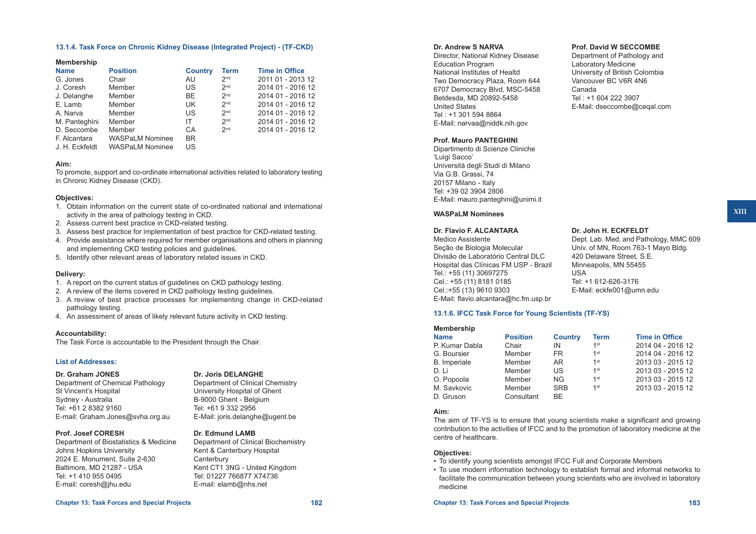#### **13.1.4. Task Force on Chronic Kidney Disease (Integrated Project) - (TF-CKD)**

#### **Membership**

| <b>Name</b>    | <b>Position</b>        | <b>Country</b> | Term            | <b>Time in Office</b> |
|----------------|------------------------|----------------|-----------------|-----------------------|
| G. Jones       | Chair                  | AU.            | 2 <sub>nd</sub> | 2011 01 - 2013 12     |
| J. Coresh      | Member                 | US             | 2 <sub>nd</sub> | 2014 01 - 2016 12     |
| J. Delanghe    | Member                 | BE.            | 2 <sub>nd</sub> | 2014 01 - 2016 12     |
| E. Lamb        | Member                 | UK.            | 2 <sub>nd</sub> | 2014 01 - 2016 12     |
| A. Narva       | Member                 | US             | 2 <sub>nd</sub> | 2014 01 - 2016 12     |
| M. Panteghini  | Member                 | ΙT             | 2 <sub>nd</sub> | 2014 01 - 2016 12     |
| D. Seccombe    | Member                 | CA             | 2 <sub>nd</sub> | 2014 01 - 2016 12     |
| F. Alcantara   | <b>WASPaLM Nominee</b> | BR.            |                 |                       |
| J. H. Eckfeldt | <b>WASPaLM Nominee</b> | US             |                 |                       |

#### **Aim:**

To promote, support and co-ordinate international activities related to laboratory testing in Chronic Kidney Disease (CKD).

#### **Objectives:**

- 1. Obtain information on the current state of co-ordinated national and international activity in the area of pathology testing in CKD.
- 2. Assess current best practice in CKD-related testing.
- 3. Assess best practice for implementation of best practice for CKD-related testing.
- 4. Provide assistance where required for member organisations and others in planning and implementing CKD testing policies and guidelines.
- 5. Identify other relevant areas of laboratory related issues in CKD.

#### **Delivery:**

- 1. A report on the current status of guidelines on CKD pathology testing.
- 2. A review of the items covered in CKD pathology testing guidelines.
- 3. A review of best practice processes for implementing change in CKD-related pathology testing.
- 4. An assessment of areas of likely relevant future activity in CKD testing.

#### **Accountability:**

The Task Force is accountable to the President through the Chair.

#### **List of Addresses:**

# **Dr. Graham JONES**

Department of Chemical Pathology St Vincent's Hospital Sydney - Australia Tel: +61 2 8382 9160 E-mail: [Graham.Jones@svha.org.au](mailto:Graham.Jones@svha.org.au)

**Dr. Joris DELANGHE** Department of Clinical Chemistry University Hospital of Ghent B-9000 Ghent - Belgium Tel: +61 9 332 2956 E-Mail: joris.delanghe@ugent.be

#### **Prof. Josef CORESH**

Department of Biostatistics & Medicine Johns Hopkins University 2024 E. Monument, Suite 2-630 Baltimore, MD 21287 - USA Tel: +1 410 955 0495 E-mail: coresh@jhu.edu

**Dr. Edmund LAMB** Department of Clinical Biochemistry Kent & Canterbury Hospital **Canterbury** Kent CT1 3NG - United Kingdom Tel: 01227 766877 X74736 E-mail: elamb@nhs.net

#### **Dr. Andrew S NARVA**

Director, National Kidney Disease Education Program National Institutes of Healtd Two Democracy Plaza, Room 644 6707 Democracy Blvd, MSC-5458 Betdesda, MD 20892-5458 United States Tel : +1 301 594 8864 E-Mail: narvaa@niddk.nih.gov

#### **Prof. Mauro PANTEGHINI**

Dipartimento di Scienze Cliniche 'Luigi Sacco' Università degli Studi di Milano Via G.B. Grassi, 74 20157 Milano - Italy Tel: +39 02 3904 2806 E-Mail: mauro.panteghini@unimi.it

#### **WASPaLM Nominees**

## **Dr. Flavio F. ALCANTARA**

Medico Assistente Seção de Biologia Molecular Divisão de Laboratório Central DLC Hospital das Clínicas FM USP - Brazil Tel.: +55 (11) 30697275 Cel.: +55 (11) 8181 0185 Cel.:+55 (13) 9610 9303 E-Mail: flavio.alcantara@hc.fm.usp.br

#### **13.1.6. IFCC Task Force for Young Scientists (TF-YS)**

#### **Membership**

| <b>Name</b>    | <b>Position</b> | <b>Country</b> | Term   | <b>Time in Office</b> |
|----------------|-----------------|----------------|--------|-----------------------|
| P. Kumar Dabla | Chair           | IN             | 1st    | 2014 04 - 2016 12     |
| G. Boursier    | Member          | FR.            | 1st    | 2014 04 - 2016 12     |
| B. Imperiale   | Member          | AR             | $1$ st | 2013 03 - 2015 12     |
| D.H            | Member          | US             | 1st    | 2013 03 - 2015 12     |
| O. Popoola     | Member          | NG.            | $1$ st | 2013 03 - 2015 12     |
| M. Savkovic    | Member          | <b>SRB</b>     | $1$ st | 2013 03 - 2015 12     |
| D. Gruson      | Consultant      | <b>BF</b>      |        |                       |

USA

#### **Aim:**

The aim of TF-YS is to ensure that young scientists make a significant and growing contribution to the activities of IFCC and to the promotion of laboratory medicine at the centre of healthcare.

#### **Objectives:**

- To identify young scientists amongst IFCC Full and Corporate Members
- To use modern information technology to establish formal and informal networks to facilitate the communication between young scientists who are involved in laboratory medicine

#### **Chapter 13: Task Forces and Special Projects 182 Chapter 13: Task Forces and Special Projects 183**

#### **Prof. David W SECCOMBE**

Department of Pathology and Laboratory Medicine University of British Colombia Vancouver BC V6R 4N6 Canada Tel : +1 604 222 3907 E-Mail: dseccombe@ceqal.com

**Dr. John H. ECKFELDT**

420 Delaware Street, S.E. Minneapolis, MN 55455

Tel: +1 612-626-3176 E-Mail: eckfe001@umn.edu

Dept. Lab. Med. and Pathology, MMC 609 Univ. of MN, Room 763-1 Mayo Bldg.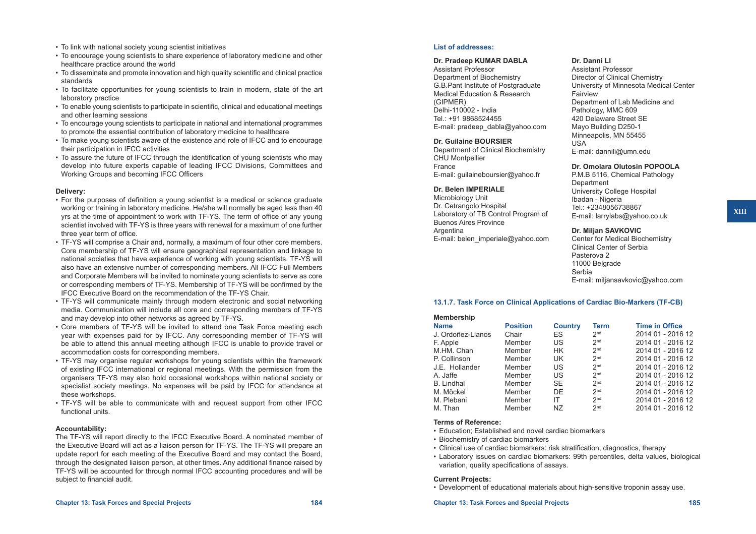- To link with national society young scientist initiatives
- • To encourage young scientists to share experience of laboratory medicine and other healthcare practice around the world
- • To disseminate and promote innovation and high quality scientific and clinical practice standards
- To facilitate opportunities for young scientists to train in modern, state of the art laboratory practice
- • To enable young scientists to participate in scientific, clinical and educational meetings and other learning sessions
- • To encourage young scientists to participate in national and international programmes to promote the essential contribution of laboratory medicine to healthcare
- • To make young scientists aware of the existence and role of IFCC and to encourage their participation in IFCC activities
- To assure the future of IFCC through the identification of young scientists who may develop into future experts capable of leading IFCC Divisions, Committees and Working Groups and becoming IFCC Officers

#### **Delivery:**

- • For the purposes of definition a young scientist is a medical or science graduate working or training in laboratory medicine. He/she will normally be aged less than 40 yrs at the time of appointment to work with TF-YS. The term of office of any young scientist involved with TF-YS is three years with renewal for a maximum of one further three year term of office.
- • TF-YS will comprise a Chair and, normally, a maximum of four other core members. Core membership of TF-YS will ensure geographical representation and linkage to national societies that have experience of working with young scientists. TF-YS will also have an extensive number of corresponding members. All IFCC Full Members and Corporate Members will be invited to nominate young scientists to serve as core or corresponding members of TF-YS. Membership of TF-YS will be confirmed by the IFCC Executive Board on the recommendation of the TF-YS Chair.
- TF-YS will communicate mainly through modern electronic and social networking media. Communication will include all core and corresponding members of TF-YS and may develop into other networks as agreed by TF-YS.
- • Core members of TF-YS will be invited to attend one Task Force meeting each year with expenses paid for by IFCC. Any corresponding member of TF-YS will be able to attend this annual meeting although IFCC is unable to provide travel or accommodation costs for corresponding members.
- • TF-YS may organise regular workshops for young scientists within the framework of existing IFCC international or regional meetings. With the permission from the organisers TF-YS may also hold occasional workshops within national society or specialist society meetings. No expenses will be paid by IFCC for attendance at these workshops.
- TF-YS will be able to communicate with and request support from other IFCC functional units.

#### **Accountability:**

The TF-YS will report directly to the IFCC Executive Board. A nominated member of the Executive Board will act as a liaison person for TF-YS. The TF-YS will prepare an update report for each meeting of the Executive Board and may contact the Board, through the designated liaison person, at other times. Any additional finance raised by TF-YS will be accounted for through normal IFCC accounting procedures and will be subject to financial audit.

## **List of addresses:**

#### **Dr. Pradeep KUMAR DABLA**

Assistant Professor Department of Biochemistry G.B.Pant Institute of Postgraduate Medical Education & Research (GIPMER) Delhi-110002 - India Tel.: +91 9868524455 E-mail: pradeep\_dabla@yahoo.com

**Dr. Guilaine BOURSIER**

Department of Clinical Biochemistry CHU Montpellier France E-mail: [guilaineboursier@yahoo.fr](mailto:guilaineboursier@yahoo.fr)

#### **Dr. Belen IMPERIALE**

Microbiology Unit Dr. Cetrangolo Hospital Laboratory of TB Control Program of Buenos Aires Province Argentina E-mail: [belen\\_imperiale@yahoo.com](mailto:belen_imperiale@yahoo.com)

#### **Dr. Danni LI**

Assistant Professor Director of Clinical Chemistry University of Minnesota Medical Center **Fairview** Department of Lab Medicine and Pathology, MMC 609 420 Delaware Street SE Mayo Building D250-1 Minneapolis, MN 55455 USA E-mail: [dannili@umn.edu](mailto:dannili@umn.edu)

## **Dr. Omolara Olutosin POPOOLA**

P.M.B 5116, Chemical Pathology **Department** University College Hospital Ibadan - Nigeria Tel.: +2348056738867 E-mail: [larrylabs@yahoo.co.uk](mailto:larrylabs@yahoo.co.uk)

#### **Dr. Miljan SAVKOVIC**

Center for Medical Biochemistry Clinical Center of Serbia Pasterova 2 11000 Belgrade Serbia E-mail: [miljansavkovic@yahoo.com](mailto:miljansavkovic@yahoo.com)

#### **13.1.7. Task Force on Clinical Applications of Cardiac Bio-Markers (TF-CB)**

| <b>Membership</b> |                 |                |                 |                       |
|-------------------|-----------------|----------------|-----------------|-----------------------|
| <b>Name</b>       | <b>Position</b> | <b>Country</b> | Term            | <b>Time in Office</b> |
| J. Ordoñez-Llanos | Chair           | ES             | 2 <sub>nd</sub> | 2014 01 - 2016 12     |
| F. Apple          | Member          | US             | 2 <sub>nd</sub> | 2014 01 - 2016 12     |
| M.HM. Chan        | Member          | HK.            | 2 <sub>nd</sub> | 2014 01 - 2016 12     |
| P. Collinson      | Member          | UK             | 2 <sub>nd</sub> | 2014 01 - 2016 12     |
| J.E. Hollander    | Member          | US             | 2 <sub>nd</sub> | 2014 01 - 2016 12     |
| A. Jaffe          | Member          | US             | 2 <sub>nd</sub> | 2014 01 - 2016 12     |
| <b>B.</b> Lindhal | Member          | <b>SE</b>      | 2 <sub>nd</sub> | 2014 01 - 2016 12     |
| M. Möckel         | Member          | DE             | 2 <sub>nd</sub> | 2014 01 - 2016 12     |
| M. Plebani        | Member          | IΤ             | 2 <sub>nd</sub> | 2014 01 - 2016 12     |
| M. Than           | Member          | NZ             | 2 <sub>nd</sub> | 2014 01 - 2016 12     |

#### **Terms of Reference:**

- • Education; Established and novel cardiac biomarkers
- Biochemistry of cardiac biomarkers
- Clinical use of cardiac biomarkers: risk stratification, diagnostics, therapy
- • Laboratory issues on cardiac biomarkers: 99th percentiles, delta values, biological variation, quality specifications of assays.

#### **Current Projects:**

• Development of educational materials about high-sensitive troponin assay use.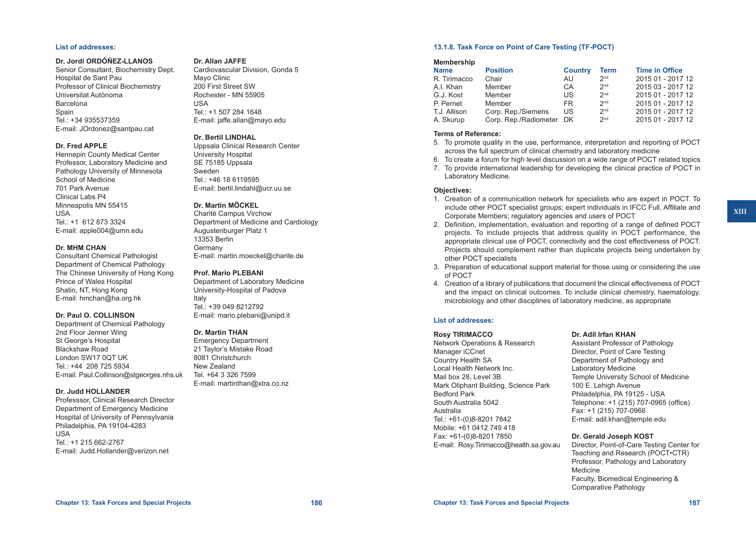#### **List of addresses:**

#### **Dr. Jordi ORDÓÑEZ-LLANOS**

Senior Consultant, Biochemistry Dept. Hospital de Sant Pau Professor of Clinical Biochemistry Universitat Autònoma Barcelona Spain Tel.: +34 935537359 E-mail: [JOrdonez@santpau.cat](mailto:JOrdonez@santpau.cat)

#### **Dr. Fred APPLE**

Hennepin County Medical Center Professor, Laboratory Medicine and Pathology University of Minnesota School of Medicine 701 Park Avenue Clinical Labs P4 Minneapolis MN 55415 USA Tel.: +1 612 873 3324 E-mail: [apple004@umn.edu](mailto:apple004@umn.edu)

#### **Dr. MHM CHAN**

Consultant Chemical Pathologist Department of Chemical Pathology The Chinese University of Hong Kong Prince of Wales Hospital Shatin, NT, Hong Kong E-mail: [hmchan@ha.org.hk](mailto:hmchan@ha.org.hk)

#### **Dr. Paul O. COLLINSON**

Department of Chemical Pathology 2nd Floor Jenner Wing St George's Hospital Blackshaw Road London SW17 0QT UK Tel.: +44 208 725 5934 E-mail: [Paul.Collinson@stgeorges.nhs.uk](mailto:Paul.Collinson@stgeorges.nhs.uk)

#### **Dr. Judd HOLLANDER**

Professsor, Clinical Research Director Department of Emergency Medicine Hospital of University of Pennsylvania Philadelphia, PA 19104-4283 USA Tel.: +1 215 662-2767 E-mail: [Judd.Hollander@verizon.net](mailto:Judd.Hollander@verizon.net)

#### **Dr. Allan JAFFE**

Cardiovascular Division, Gonda 5 Mayo Clinic 200 First Street SW Rochester - MN 55905 USA Tel.: +1 507 284 1648 E-mail: [jaffe.allan@mayo.edu](mailto:jaffe.allan@mayo.edu)

#### **Dr. Bertil LINDHAL**

Uppsala Clinical Research Center University Hospital SE 75185 Uppsala Sweden Tel.: +46 18 6119595 E-mail: [bertil.lindahl@ucr.uu.se](mailto:bertil.lindahl@ucr.uu.se)

#### **Dr. Martin MÖCKEL**

Charité Campus Virchow Department of Medicine and Cardiology Augustenburger Platz 1 13353 Berlin Germany E-mail: [martin.moeckel@charite.de](mailto:martin.moeckel@charite.de)

#### **Prof. Mario PLEBANI**

Department of Laboratory Medicine University-Hospital of Padova Italy Tel.: +39 049 8212792 E-mail: [mario.plebani@unipd.it](mailto:mario.plebani@unipd.it)

#### **Dr. Martin THAN**

Emergency Department 21 Taylor's Mistake Road 8081 Christchurch New Zealand Tel. +64 3 326 7599 E-mail: [martinthan@xtra.co.nz](mailto:martinthan@xtra.co.nz)

#### **13.1.8. Task Force on Point of Care Testing (TF-POCT)**

#### **Membership**

| <b>Name</b>  | <b>Position</b>          | <b>Country</b> | <b>Term</b>     | <b>Time in Office</b> |
|--------------|--------------------------|----------------|-----------------|-----------------------|
| R. Tirimacco | Chair                    | AU.            | 2 <sub>nd</sub> | 2015 01 - 2017 12     |
| A.I. Khan    | Member                   | CA             | 2 <sub>nd</sub> | 2015 03 - 2017 12     |
| G.J. Kost    | Member                   | US             | 2 <sub>nd</sub> | 2015 01 - 2017 12     |
| P. Pernet    | Member                   | FR.            | 2 <sub>nd</sub> | 2015 01 - 2017 12     |
| T.J. Allison | Corp. Rep./Siemens       | US             | 2 <sub>nd</sub> | 2015 01 - 2017 12     |
| A. Skurup    | Corp. Rep./Radiometer DK |                | 2 <sub>nd</sub> | 2015 01 - 2017 12     |
|              |                          |                |                 |                       |

#### **Terms of Reference:**

- 5. To promote quality in the use, performance, interpretation and reporting of POCT across the full spectrum of clinical chemistry and laboratory medicine
- 6. To create a forum for high level discussion on a wide range of POCT related topics
- 7. To provide international leadership for developing the clinical practice of POCT in Laboratory Medicine.

#### **Objectives:**

- 1. Creation of a communication network for specialists who are expert in POCT. To include other POCT specialist groups; expert individuals in IFCC Full, Affiliate and Corporate Members; regulatory agencies and users of POCT
- 2. Definition, implementation, evaluation and reporting of a range of defined POCT projects. To include projects that address quality in POCT performance, the appropriate clinical use of POCT, connectivity and the cost effectiveness of POCT. Projects should complement rather than duplicate projects being undertaken by other POCT specialists
- 3. Preparation of educational support material for those using or considering the use of POCT
- 4. Creation of a library of publications that document the clinical effectiveness of POCT and the impact on clinical outcomes. To include clinical chemistry, haematology, microbiology and other disciplines of laboratory medicine, as appropriate

### **List of addresses:**

#### **Rosy TIRIMACCO**

Network Operations & Research Manager iCCnet Country Health SA Local Health Network Inc. Mail box 28, Level 3B Mark Oliphant Building, Science Park Bedford Park South Australia 5042 Australia Tel.: +61-(0)8-8201 7842 Mobile: +61 0412 749 418 Fax: +61-(0)8-8201 7850 E-mail: [Rosy.Tirimacco@health.sa.gov.au](mailto:Rosy.Tirimacco@health.sa.gov.au)

## **Dr. Adil Irfan KHAN**

Assistant Professor of Pathology Director, Point of Care Testing Department of Pathology and Laboratory Medicine Temple University School of Medicine 100 E. Lehigh Avenue Philadelphia, PA 19125 - USA Telephone: +1 (215) 707-0965 (office) Fax: +1 (215) 707-0966 E-mail: [adil.khan@temple.edu](mailto:adil.khan@temple.edu)

### **Dr. Gerald Joseph KOST**

Director, Point-of-Care Testing Center for Teaching and Research (POCT•CTR) Professor, Pathology and Laboratory Medicine Faculty, Biomedical Engineering & Comparative Pathology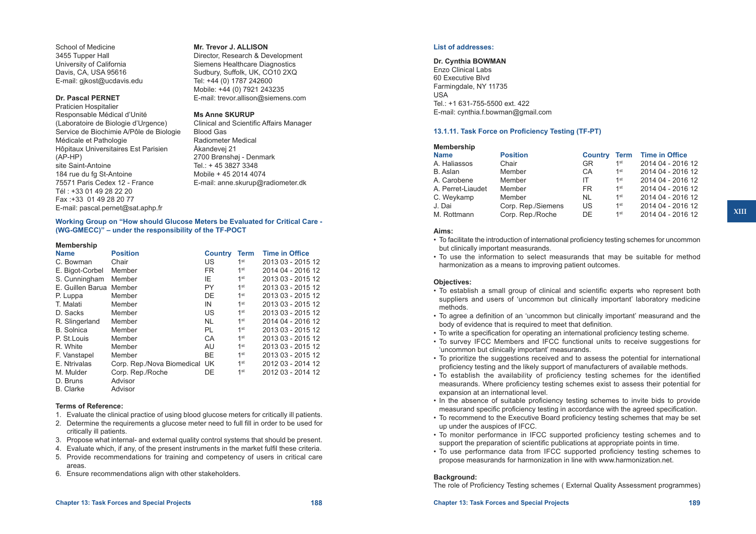## **Mr. Trevor J. ALLISON**

Director, Research & Development Siemens Healthcare Diagnostics Sudbury, Suffolk, UK, CO10 2XQ Tel: +44 (0) 1787 242600 Mobile: +44 (0) 7921 243235 E-mail: [trevor.allison@siemens.com](mailto:trevor.allison@siemens.com)

#### **Ms Anne SKURUP**

Clinical and Scientific Affairs Manager Blood Gas Radiometer Medical Åkandevej 21 2700 Brønshøj - Denmark Tel.: + 45 3827 3348 Mobile + 45 2014 4074 E-mail: [anne.skurup@radiometer.dk](mailto:anne.skurup@radiometer.dk)

**[Working Group on "How should Glucose Meters be Evaluated for Critical Care -](http://www.ifcc.org/executive-board-and-council/eb-task-forces/taskforcepoct/wg-gmecc/)  [\(WG-GMECC\)"](http://www.ifcc.org/executive-board-and-council/eb-task-forces/taskforcepoct/wg-gmecc/) – under the responsibility of the TF-POCT**

#### **Membership**

(AP-HP)

School of Medicine 3455 Tupper Hall University of California Davis, CA, USA 95616 E-mail: [gjkost@ucdavis.edu](mailto:gjkost@ucdavis.edu)

**Dr. Pascal PERNET** Praticien Hospitalier

Médicale et Pathologie

site Saint-Antoine 184 rue du fg St-Antoine 75571 Paris Cedex 12 - France Tél : +33 01 49 28 22 20 Fax :+33 01 49 28 20 77

Responsable Médical d'Unité (Laboratoire de Biologie d'Urgence) Service de Biochimie A/Pôle de Biologie

Hôpitaux Universitaires Est Parisien

E-mail: [pascal.pernet@sat.aphp.fr](mailto:pascal.pernet@sat.aphp.fr)

| <b>Name</b>             | <b>Position</b>               | <b>Country</b> | <b>Term</b>     | <b>Time in Office</b> |
|-------------------------|-------------------------------|----------------|-----------------|-----------------------|
| C. Bowman               | Chair                         | US.            | 1 <sup>st</sup> | 2013 03 - 2015 12     |
| E. Bigot-Corbel         | Member                        | FR.            | 1 <sup>st</sup> | 2014 04 - 2016 12     |
| S. Cunningham           | Member                        | IE.            | 1 <sup>st</sup> | 2013 03 - 2015 12     |
| E. Guillen Barua Member |                               | PY.            | 1 <sup>st</sup> | 2013 03 - 2015 12     |
| P. Luppa                | Member                        | DE.            | 1 <sup>st</sup> | 2013 03 - 2015 12     |
| T. Malati               | Member                        | IN             | 1 <sup>st</sup> | 2013 03 - 2015 12     |
| D. Sacks                | Member                        | US             | 1 <sup>st</sup> | 2013 03 - 2015 12     |
| R. Slingerland          | Member                        | <b>NL</b>      | 1 <sup>st</sup> | 2014 04 - 2016 12     |
| <b>B.</b> Solnica       | Member                        | <b>PL</b>      | 1 <sup>st</sup> | 2013 03 - 2015 12     |
| P. St. Louis            | Member                        | CA             | 1 <sup>st</sup> | 2013 03 - 2015 12     |
| R. White                | Member                        | AU             | 1 <sup>st</sup> | 2013 03 - 2015 12     |
| F. Vanstapel            | Member                        | <b>BE</b>      | 1 <sup>st</sup> | 2013 03 - 2015 12     |
| E. Ntrivalas            | Corp. Rep./Nova Biomedical UK |                | 1 <sup>st</sup> | 2012 03 - 2014 12     |
| M. Mulder               | Corp. Rep./Roche              | DE             | 1 <sup>st</sup> | 2012 03 - 2014 12     |
| D. Bruns                | Advisor                       |                |                 |                       |
| <b>B.</b> Clarke        | Advisor                       |                |                 |                       |

#### **Terms of Reference:**

- 1. Evaluate the clinical practice of using blood glucose meters for critically ill patients.
- 2. Determine the requirements a glucose meter need to full fill in order to be used for critically ill patients.
- 3. Propose what internal- and external quality control systems that should be present.
- 4. Evaluate which, if any, of the present instruments in the market fulfil these criteria.
- 5. Provide recommendations for training and competency of users in critical care areas.
- 6. Ensure recommendations align with other stakeholders.

### **List of addresses:**

**Dr. Cynthia BOWMAN** Enzo Clinical Labs 60 Executive Blvd Farmingdale, NY 11735 USA Tel.: +1 631-755-5500 ext. 422 E-mail: [cynthia.f.bowman@gmail.com](mailto:cynthia.f.bowman@gmail.com)

## **13.1.11. Task Force on Proficiency Testing (TF-PT)**

| <b>Membership</b> |                    |                |                 |                       |
|-------------------|--------------------|----------------|-----------------|-----------------------|
| <b>Name</b>       | <b>Position</b>    | <b>Country</b> | Term            | <b>Time in Office</b> |
| A. Haliassos      | Chair              | <b>GR</b>      | 1st             | 2014 04 - 2016 12     |
| B. Aslan          | Member             | CA             | 1 <sup>st</sup> | 2014 04 - 2016 12     |
| A. Carobene       | Member             | ΙT             | 1 <sup>st</sup> | 2014 04 - 2016 12     |
| A. Perret-Liaudet | Member             | FR.            | 1 <sup>st</sup> | 2014 04 - 2016 12     |
| C. Weykamp        | Member             | <b>NL</b>      | 1 <sup>st</sup> | 2014 04 - 2016 12     |
| J. Dai            | Corp. Rep./Siemens | US             | 1 <sup>st</sup> | 2014 04 - 2016 12     |
| M. Rottmann       | Corp. Rep./Roche   | DE             | 1 <sup>st</sup> | 2014 04 - 2016 12     |

#### **Aims:**

• To facilitate the introduction of international proficiency testing schemes for uncommon but clinically important measurands.

• To use the information to select measurands that may be suitable for method harmonization as a means to improving patient outcomes.

### **Objectives:**

- • To establish a small group of clinical and scientific experts who represent both suppliers and users of 'uncommon but clinically important' laboratory medicine methods.
- • To agree a definition of an 'uncommon but clinically important' measurand and the body of evidence that is required to meet that definition.
- To write a specification for operating an international proficiency testing scheme.
- To survey IFCC Members and IFCC functional units to receive suggestions for 'uncommon but clinically important' measurands.
- To prioritize the suggestions received and to assess the potential for international proficiency testing and the likely support of manufacturers of available methods.
- • To establish the availability of proficiency testing schemes for the identified measurands. Where proficiency testing schemes exist to assess their potential for expansion at an international level.
- • In the absence of suitable proficiency testing schemes to invite bids to provide measurand specific proficiency testing in accordance with the agreed specification.
- • To recommend to the Executive Board proficiency testing schemes that may be set up under the auspices of IFCC.
- To monitor performance in IFCC supported proficiency testing schemes and to support the preparation of scientific publications at appropriate points in time.
- To use performance data from IFCC supported proficiency testing schemes to propose measurands for harmonization in line with [www.harmonization.net](http://www.harmonization.net).

#### **Background:**

The role of Proficiency Testing schemes ( External Quality Assessment programmes)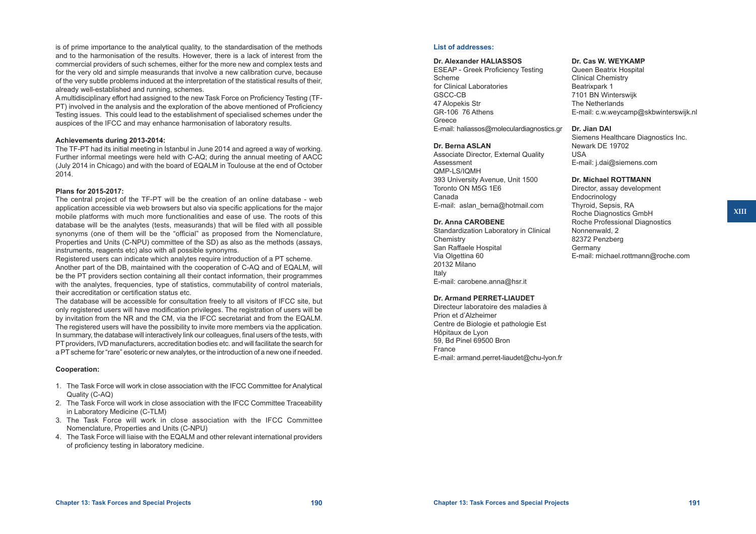is of prime importance to the analytical quality, to the standardisation of the methods and to the harmonisation of the results. However, there is a lack of interest from the commercial providers of such schemes, either for the more new and complex tests and for the very old and simple measurands that involve a new calibration curve, because of the very subtle problems induced at the interpretation of the statistical results of their, already well-established and running, schemes.

A multidisciplinary effort had assigned to the new Task Force on Proficiency Testing (TF-PT) involved in the analysis and the exploration of the above mentioned of Proficiency Testing issues. This could lead to the establishment of specialised schemes under the auspices of the IFCC and may enhance harmonisation of laboratory results.

#### **Achievements during 2013-2014:**

The TF-PT had its initial meeting in Istanbul in June 2014 and agreed a way of working. Further informal meetings were held with C-AQ; during the annual meeting of AACC (July 2014 in Chicago) and with the board of EQALM in Toulouse at the end of October 2014.

#### **Plans for 2015-2017:**

The central project of the TF-PT will be the creation of an online database - web application accessible via web browsers but also via specific applications for the major mobile platforms with much more functionalities and ease of use. The roots of this database will be the analytes (tests, measurands) that will be filed with all possible synonyms (one of them will be the "official" as proposed from the Nomenclature, Properties and Units (C-NPU) committee of the SD) as also as the methods (assays, instruments, reagents etc) also with all possible synonyms.

Registered users can indicate which analytes require introduction of a PT scheme. Another part of the DB, maintained with the cooperation of C-AQ and of EQALM, will be the PT providers section containing all their contact information, their programmes with the analytes, frequencies, type of statistics, commutability of control materials, their accreditation or certification status etc.

The database will be accessible for consultation freely to all visitors of IFCC site, but only registered users will have modification privileges. The registration of users will be by invitation from the NR and the CM, via the IFCC secretariat and from the EQALM. The registered users will have the possibility to invite more members via the application. In summary, the database will interactively link our colleagues, final users of the tests, with PT providers, IVD manufacturers, accreditation bodies etc. and will facilitate the search for a PT scheme for "rare" esoteric or new analytes, or the introduction of a new one if needed.

#### **Cooperation:**

- 1. The Task Force will work in close association with the IFCC Committee for Analytical Quality (C-AQ)
- 2. The Task Force will work in close association with the IFCC Committee Traceability in Laboratory Medicine (C-TLM)
- 3. The Task Force will work in close association with the IFCC Committee Nomenclature, Properties and Units (C-NPU)
- 4. The Task Force will liaise with the EQALM and other relevant international providers of proficiency testing in laboratory medicine.

#### **List of addresses:**

#### **Dr. Alexander HALIASSOS**

ESEAP - Greek Proficiency Testing Scheme for Clinical Laboratories GSCC-CB 47 Alopekis Str GR-106 76 Athens Greece E-mail: [haliassos@moleculardiagnostics.gr](mailto:haliassos@moleculardiagnostics.gr)

#### **Dr. Berna ASLAN**

Associate Director, External Quality Assessment QMP-LS/IQMH 393 University Avenue, Unit 1500 Toronto ON M5G 1E6 Canada E-mail: [aslan\\_berna@hotmail.com](mailto:aslan_berna@hotmail.com)

#### **Dr. Anna CAROBENE**

Standardization Laboratory in Clinical **Chemistry** San Raffaele Hospital Via Olgettina 60 20132 Milano Italy E-mail: [carobene.anna@hsr.it](mailto:carobene.anna@hsr.it)

#### **Dr. Armand PERRET-LIAUDET**

Directeur laboratoire des maladies à Prion et d'Alzheimer Centre de Biologie et pathologie Est Hôpitaux de Lyon 59, Bd Pinel 69500 Bron France E-mail: [armand.perret-liaudet@chu-lyon.fr](mailto:armand.perret-liaudet@chu-lyon.fr)

#### **Dr. Cas W. WEYKAMP**

Queen Beatrix Hospital Clinical Chemistry Beatrixpark 1 7101 BN Winterswijk The Netherlands E-mail: [c.w.weycamp@skbwinterswijk.nl](mailto:c.w.weycamp@skbwinterswijk.nl)

#### **Dr. Jian DAI**

Siemens Healthcare Diagnostics Inc. Newark DE 19702 USA E-mail: [j.dai@siemens.com](mailto:j.dai@siemens.com) 

#### **Dr. Michael ROTTMANN**

Director, assay development **Endocrinology** Thyroid, Sepsis, RA Roche Diagnostics GmbH Roche Professional Diagnostics Nonnenwald, 2 82372 Penzberg Germany E-mail: [michael.rottmann@roche.com](mailto:michael.rottmann@roche.com)

**XIII**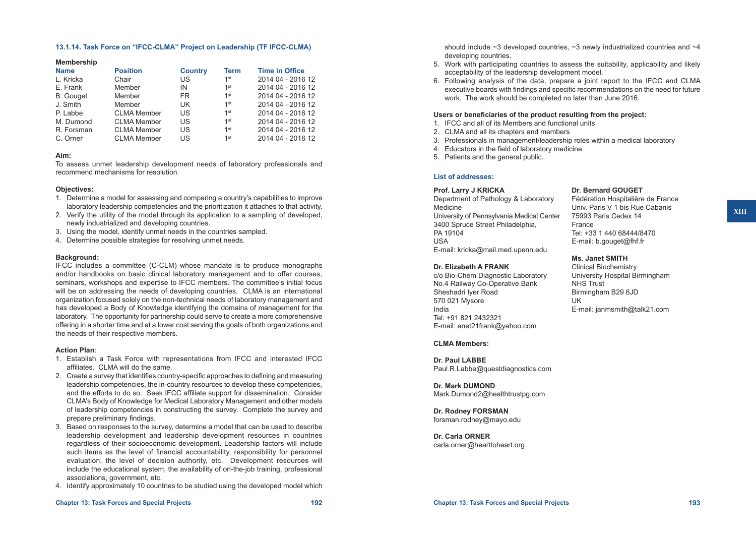#### **13.1.14. Task Force on "IFCC-CLMA" Project on Leadership (TF IFCC-CLMA)**

#### **Membership**

| <b>Name</b>      | <b>Position</b>    | <b>Country</b> | <b>Term</b>     | <b>Time in Office</b> |
|------------------|--------------------|----------------|-----------------|-----------------------|
| L. Kricka        | Chair              | US.            | 1 <sup>st</sup> | 2014 04 - 2016 12     |
| E. Frank         | Member             | IN             | 1st             | 2014 04 - 2016 12     |
| <b>B.</b> Gouget | Member             | FR.            | 1 <sup>st</sup> | 2014 04 - 2016 12     |
| J. Smith         | Member             | UK.            | 1 <sup>st</sup> | 2014 04 - 2016 12     |
| P. Labbe         | <b>CLMA Member</b> | US             | 1 <sup>st</sup> | 2014 04 - 2016 12     |
| M. Dumond        | <b>CLMA Member</b> | US             | 1 <sup>st</sup> | 2014 04 - 2016 12     |
| R. Forsman       | <b>CLMA Member</b> | US             | 1 <sup>st</sup> | 2014 04 - 2016 12     |
| C. Orner         | <b>CLMA Member</b> | US             | 1 <sup>st</sup> | 2014 04 - 2016 12     |

#### **Aim:**

To assess unmet leadership development needs of laboratory professionals and recommend mechanisms for resolution.

#### **Objectives:**

- 1. Determine a model for assessing and comparing a country's capabilities to improve laboratory leadership competencies and the prioritization it attaches to that activity.
- 2. Verify the utility of the model through its application to a sampling of developed, newly industrialized and developing countries.
- 3. Using the model, identify unmet needs in the countries sampled.
- 4. Determine possible strategies for resolving unmet needs.

#### **Background:**

IFCC includes a committee (C-CLM) whose mandate is to produce monographs and/or handbooks on basic clinical laboratory management and to offer courses, seminars, workshops and expertise to IFCC members. The committee's initial focus will be on addressing the needs of developing countries. CLMA is an international organization focused solely on the non-technical needs of laboratory management and has developed a Body of Knowledge identifying the domains of management for the laboratory. The opportunity for partnership could serve to create a more comprehensive offering in a shorter time and at a lower cost serving the goals of both organizations and the needs of their respective members.

#### **Action Plan**:

- 1. Establish a Task Force with representations from IFCC and interested IFCC affiliates. CLMA will do the same.
- 2. Create a survey that identifies country-specific approaches to defining and measuring leadership competencies, the in-country resources to develop these competencies, and the efforts to do so. Seek IFCC affiliate support for dissemination. Consider CLMA's Body of Knowledge for Medical Laboratory Management and other models of leadership competencies in constructing the survey. Complete the survey and prepare preliminary findings.
- 3. Based on responses to the survey, determine a model that can be used to describe leadership development and leadership development resources in countries regardless of their socioeconomic development. Leadership factors will include such items as the level of financial accountability, responsibility for personnel evaluation, the level of decision authority, etc. Development resources will include the educational system, the availability of on-the-job training, professional associations, government, etc.
- 4. Identify approximately 10 countries to be studied using the developed model which

should include  $\sim$ 3 developed countries,  $\sim$ 3 newly industrialized countries and  $\sim$ 4 developing countries.

- 5. Work with participating countries to assess the suitability, applicability and likely acceptability of the leadership development model.
- 6. Following analysis of the data, prepare a joint report to the IFCC and CLMA executive boards with findings and specific recommendations on the need for future work. The work should be completed no later than June 2016.

#### **Users or beneficiaries of the product resulting from the project:**

- 1. IFCC and all of its Members and functional units
- 2. CLMA and all its chapters and members
- 3. Professionals in management/leadership roles within a medical laboratory
- 4. Educators in the field of laboratory medicine
- 5. Patients and the general public.

#### **List of addresses:**

#### **Prof. Larry J KRICKA**

Department of Pathology & Laboratory Medicine University of Pennsylvania Medical Center 3400 Spruce Street Philadelphia, PA 19104 USA E-mail: [kricka@mail.med.upenn.edu](mailto:kricka@mail.med.upenn.edu)

#### **Dr. Elizabeth A FRANK**

c/o Bio-Chem Diagnostic Laboratory No.4 Railway Co-Operative Bank Sheshadri Iyer Road 570 021 Mysore India Tel: +91 821 2432321 E-mail: [anet21frank@yahoo.com](mailto:anet21frank@yahoo.com)

#### **CLMA Members:**

**Dr. Paul LABBE** [Paul.R.Labbe@questdiagnostics.com](mailto:Paul.R.Labbe@questdiagnostics.com)

**Dr. Mark DUMOND** [Mark.Dumond2@healthtrustpg.com](mailto:Mark.Dumond2@healthtrustpg.com)

**Dr. Rodney FORSMAN** [forsman.rodney@mayo.edu](mailto:forsman.rodney@mayo.edu)

**Dr. Carla ORNER** [carla.orner@hearttoheart.org](mailto:carla.orner@hearttoheart.org)

## **Dr. Bernard GOUGET**

Fédération Hospitalière de France Univ. Paris V 1 bis Rue Cabanis 75993 Paris Cedex 14 France Tel: +33 1 440 68444/8470 E-mail: [b.gouget@fhf.fr](mailto:b.gouget@fhf.fr)

#### **Ms. Janet SMITH**

Clinical Biochemistry University Hospital Birmingham NHS Trust Birmingham B29 6JD UK E-mail: [janmsmith@talk21.com](mailto:janmsmith@talk21.com)